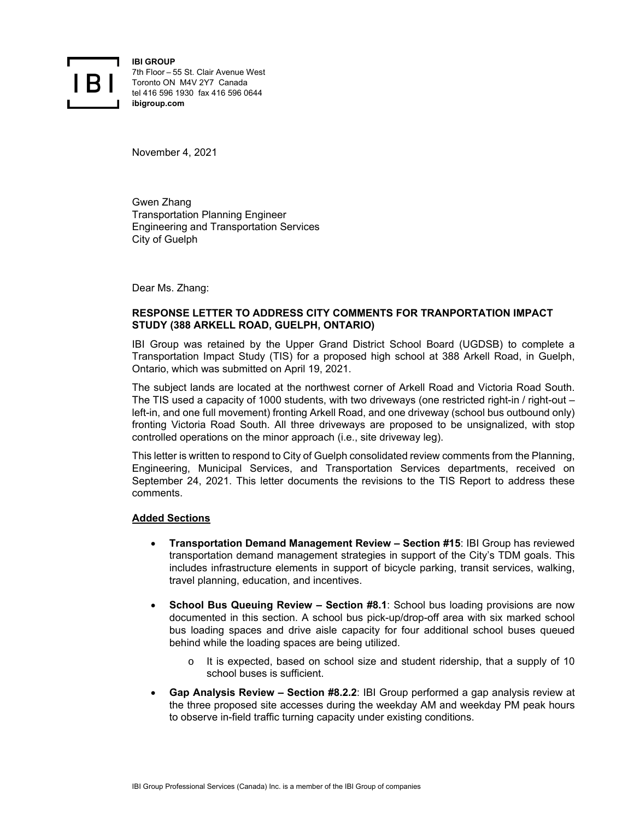

**IBI GROUP** 7th Floor – 55 St. Clair Avenue West Toronto ON M4V 2Y7 Canada tel 416 596 1930 fax 416 596 0644 **ibigroup.com** 

November 4, 2021

Gwen Zhang Transportation Planning Engineer Engineering and Transportation Services City of Guelph

Dear Ms. Zhang:

## **RESPONSE LETTER TO ADDRESS CITY COMMENTS FOR TRANPORTATION IMPACT STUDY (388 ARKELL ROAD, GUELPH, ONTARIO)**

IBI Group was retained by the Upper Grand District School Board (UGDSB) to complete a Transportation Impact Study (TIS) for a proposed high school at 388 Arkell Road, in Guelph, Ontario, which was submitted on April 19, 2021.

The subject lands are located at the northwest corner of Arkell Road and Victoria Road South. The TIS used a capacity of 1000 students, with two driveways (one restricted right-in / right-out – left-in, and one full movement) fronting Arkell Road, and one driveway (school bus outbound only) fronting Victoria Road South. All three driveways are proposed to be unsignalized, with stop controlled operations on the minor approach (i.e., site driveway leg).

This letter is written to respond to City of Guelph consolidated review comments from the Planning, Engineering, Municipal Services, and Transportation Services departments, received on September 24, 2021. This letter documents the revisions to the TIS Report to address these comments.

## **Added Sections**

- **Transportation Demand Management Review Section #15**: IBI Group has reviewed transportation demand management strategies in support of the City's TDM goals. This includes infrastructure elements in support of bicycle parking, transit services, walking, travel planning, education, and incentives.
- **School Bus Queuing Review Section #8.1**: School bus loading provisions are now documented in this section. A school bus pick-up/drop-off area with six marked school bus loading spaces and drive aisle capacity for four additional school buses queued behind while the loading spaces are being utilized.
	- o It is expected, based on school size and student ridership, that a supply of 10 school buses is sufficient.
- **Gap Analysis Review Section #8.2.2**: IBI Group performed a gap analysis review at the three proposed site accesses during the weekday AM and weekday PM peak hours to observe in-field traffic turning capacity under existing conditions.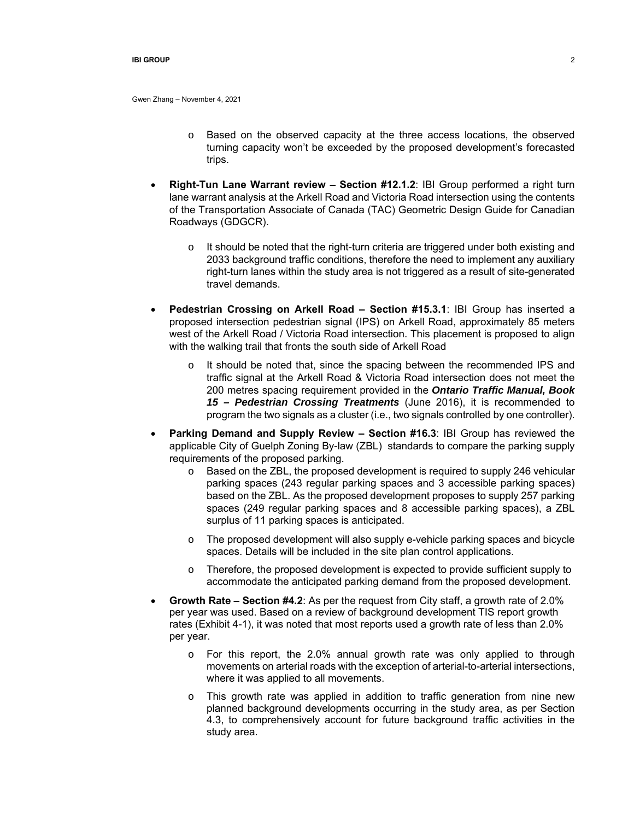Gwen Zhang – November 4, 2021

- o Based on the observed capacity at the three access locations, the observed turning capacity won't be exceeded by the proposed development's forecasted trips.
- **Right-Tun Lane Warrant review Section #12.1.2**: IBI Group performed a right turn lane warrant analysis at the Arkell Road and Victoria Road intersection using the contents of the Transportation Associate of Canada (TAC) Geometric Design Guide for Canadian Roadways (GDGCR).
	- $\circ$  It should be noted that the right-turn criteria are triggered under both existing and 2033 background traffic conditions, therefore the need to implement any auxiliary right-turn lanes within the study area is not triggered as a result of site-generated travel demands.
- **Pedestrian Crossing on Arkell Road Section #15.3.1**: IBI Group has inserted a proposed intersection pedestrian signal (IPS) on Arkell Road, approximately 85 meters west of the Arkell Road / Victoria Road intersection. This placement is proposed to align with the walking trail that fronts the south side of Arkell Road
	- $\circ$  It should be noted that, since the spacing between the recommended IPS and traffic signal at the Arkell Road & Victoria Road intersection does not meet the 200 metres spacing requirement provided in the *Ontario Traffic Manual, Book 15 – Pedestrian Crossing Treatments* (June 2016), it is recommended to program the two signals as a cluster (i.e., two signals controlled by one controller).
- **Parking Demand and Supply Review Section #16.3**: IBI Group has reviewed the applicable City of Guelph Zoning By-law (ZBL) standards to compare the parking supply requirements of the proposed parking.
	- o Based on the ZBL, the proposed development is required to supply 246 vehicular parking spaces (243 regular parking spaces and 3 accessible parking spaces) based on the ZBL. As the proposed development proposes to supply 257 parking spaces (249 regular parking spaces and 8 accessible parking spaces), a ZBL surplus of 11 parking spaces is anticipated.
	- o The proposed development will also supply e-vehicle parking spaces and bicycle spaces. Details will be included in the site plan control applications.
	- o Therefore, the proposed development is expected to provide sufficient supply to accommodate the anticipated parking demand from the proposed development.
- **Growth Rate Section #4.2**: As per the request from City staff, a growth rate of 2.0% per year was used. Based on a review of background development TIS report growth rates (Exhibit 4-1), it was noted that most reports used a growth rate of less than 2.0% per year.
	- o For this report, the 2.0% annual growth rate was only applied to through movements on arterial roads with the exception of arterial-to-arterial intersections, where it was applied to all movements.
	- $\circ$  This growth rate was applied in addition to traffic generation from nine new planned background developments occurring in the study area, as per Section 4.3, to comprehensively account for future background traffic activities in the study area.